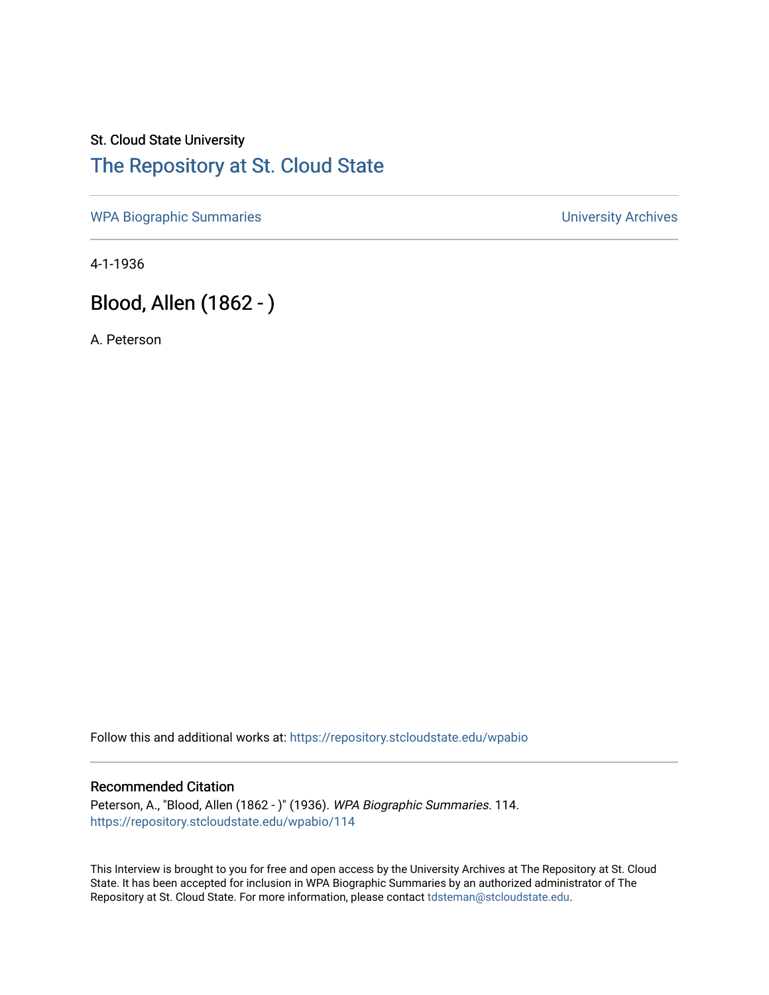## St. Cloud State University [The Repository at St. Cloud State](https://repository.stcloudstate.edu/)

[WPA Biographic Summaries](https://repository.stcloudstate.edu/wpabio) **WPA Biographic Summaries University Archives** 

4-1-1936

# Blood, Allen (1862 - )

A. Peterson

Follow this and additional works at: [https://repository.stcloudstate.edu/wpabio](https://repository.stcloudstate.edu/wpabio?utm_source=repository.stcloudstate.edu%2Fwpabio%2F114&utm_medium=PDF&utm_campaign=PDFCoverPages) 

#### Recommended Citation

Peterson, A., "Blood, Allen (1862 - )" (1936). WPA Biographic Summaries. 114. [https://repository.stcloudstate.edu/wpabio/114](https://repository.stcloudstate.edu/wpabio/114?utm_source=repository.stcloudstate.edu%2Fwpabio%2F114&utm_medium=PDF&utm_campaign=PDFCoverPages) 

This Interview is brought to you for free and open access by the University Archives at The Repository at St. Cloud State. It has been accepted for inclusion in WPA Biographic Summaries by an authorized administrator of The Repository at St. Cloud State. For more information, please contact [tdsteman@stcloudstate.edu.](mailto:tdsteman@stcloudstate.edu)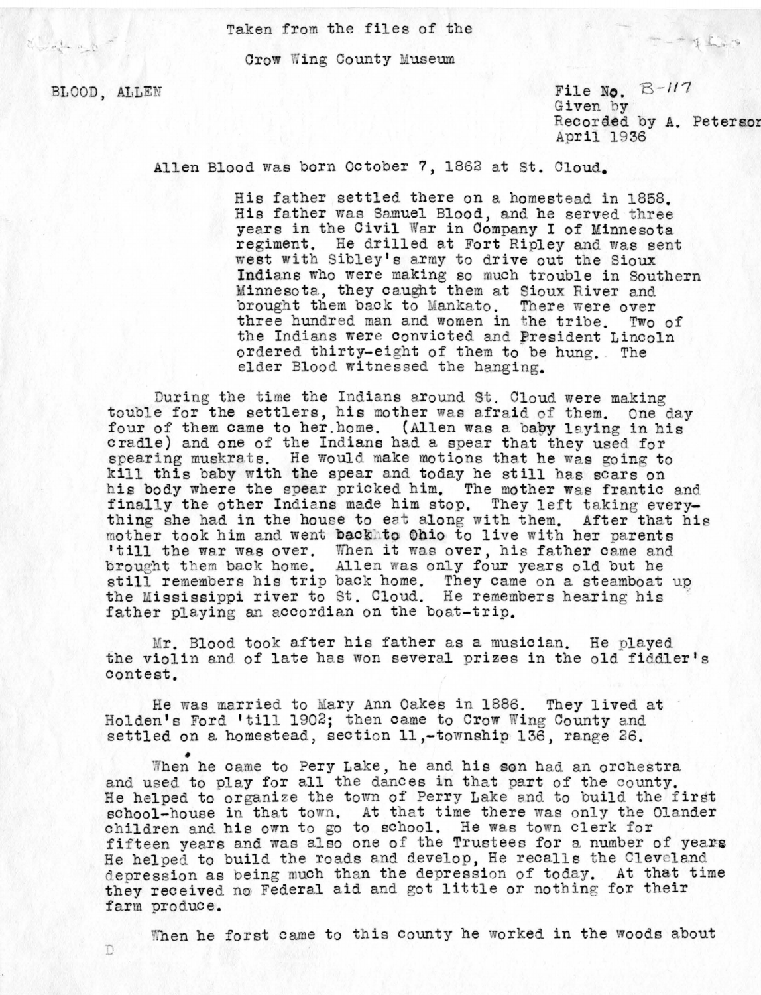Taken from the files of the

Crow Wing County Museum

BLOOD, ALLEN

T)

well a lot

 $_{\rm{M}}$ 

File No.  $B$ - $117$ Given by Recor ded by A. Petersor April 19 <sup>36</sup>

Allen Blood was born October 7, 1862 at St. Cloud.

His father settled there on a homestead in 1858. His father was Samuel Blood, and he served three vears in the Civil War in Company I of Minnesota regiment. He drilled at Fort Ripley and was sent west with Sibley's army to drive out the Sioux Indians who were making so much trouble in Southern Minnesota, they caught them at Sioux River and brought them back to Mankato. There were over three hundred man and women in the tribe. Two of the Indians were convicted and President Lincoln ordered thirty-eight of them to be hung. elder Blood witnessed the hanging.

During the time the Indians around St. Cloud were making touble for the settlers, his mother was afraid of them. One day four of them came to her.home. (Allen was a baby laying in his cradle) and one of the Indians had a spear that they used for spearing muskrats. He would make motions that he was going to kill this baby with the spear and today he still has scars on his body where the spear pricked him. The mother was frantic and finally the other Indians made him stop. They left taking everything she had in the house to eat along with them. After that his mother took him and went backhto Ohio to live with her parents 'till the war was over. When it was over, his father came and brought them back home. Allen was only four years old but he still remembers his trip back home. They came on a steamboat up the Mississippi river to St. Cloud. He remembers hearing his father playing an accordian on the boat-trip.

Mr. Blood took after his father as a musician. He played the violin and of late has won several prizes in the old fiddler's contest.

He was married to Mary Ann Oakes in 1886. They lived at Holden's Ford 'till 1902; then came to Crow Wing County and settled on a homestead, section 11,-township 136, range 26.

When he came to Pery Lake, he and his son had an orchestra and used to play for all the dances in that part of the county. He helped to organize the town of Perry Lake and to build the first school-house in that town. At that time there was only the Olander children and his own to go to school. He was town clerk for fifteen years and was also one of the Trustees for a number of years He helped to build the roads and develop, He recalls the Cleveland depression as being much than the depression of today. At that time they received no Federal aid and got little or nothing for their farm produce.

When he forst came to this county he worked in the woods about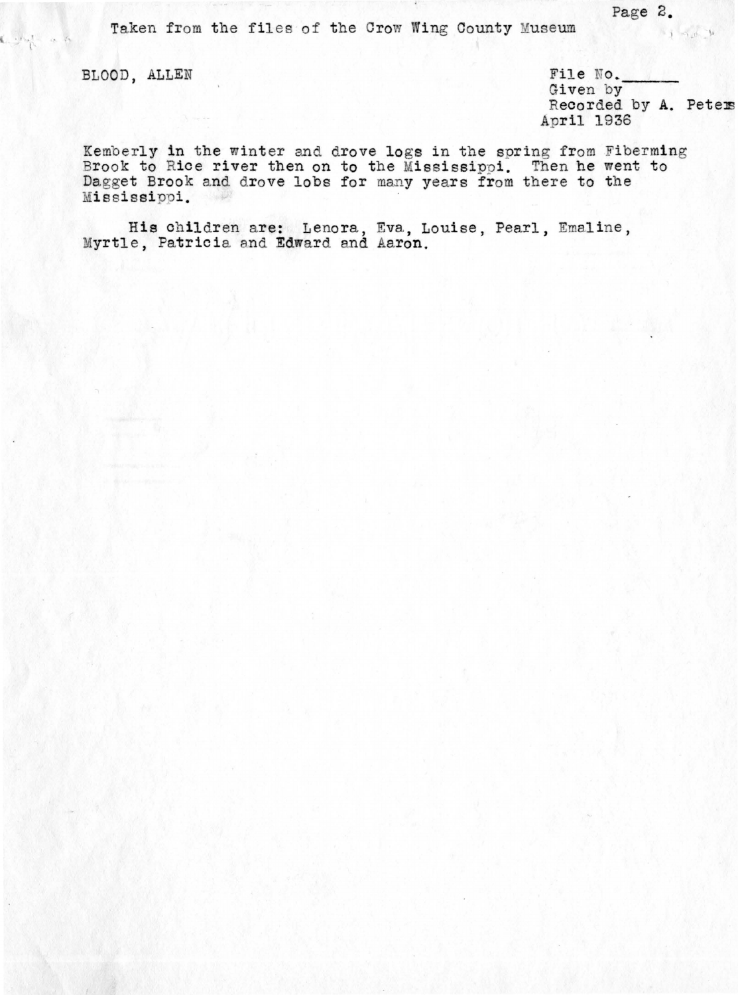Taken from the files of the Crow Wing County Museum

BLOOD, ALLEN File No. The No. The Society of Street by Given by Theorded by A. Peters <sup>A</sup>ril 1936

Kemberly in the winter and drove logs in the spring from Fiberming Brook to Rice river then on to the Mississippi. Then he went to Dagget Brook and drove lobs for many years from there to the Mississippi.

His children are: Lenora, Eva, Louise, Pearl, Emaline, Myrtle, Patricia and Edward and Aaron.